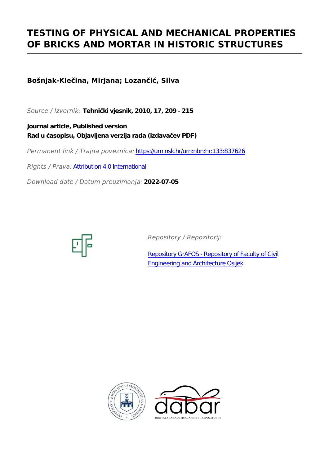# **TESTING OF PHYSICAL AND MECHANICAL PROPERTIES OF BRICKS AND MORTAR IN HISTORIC STRUCTURES**

**Bošnjak-Klečina, Mirjana; Lozančić, Silva**

*Source / Izvornik:* **Tehnički vjesnik, 2010, 17, 209 - 215**

**Journal article, Published version Rad u časopisu, Objavljena verzija rada (izdavačev PDF)**

*Permanent link / Trajna poveznica:* <https://urn.nsk.hr/urn:nbn:hr:133:837626>

*Rights / Prava:* [Attribution 4.0 International](http://creativecommons.org/licenses/by/4.0/)

*Download date / Datum preuzimanja:* **2022-07-05**



*Repository / Repozitorij:*

[Repository GrAFOS - Repository of Faculty of Civi](https://repozitorij.gfos.hr)l [Engineering and Architecture Osijek](https://repozitorij.gfos.hr)



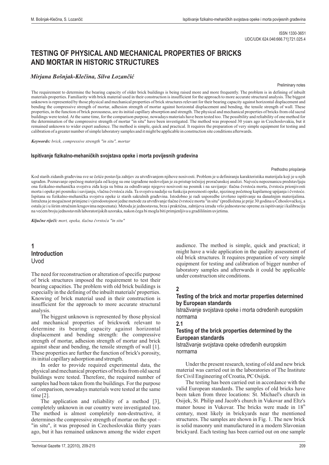## **TESTING OF PHYSICAL AND MECHANICAL PROPERTIES OF BRICKS AND MORTAR IN HISTORIC STRUCTURES**

## *Mirjana Bošnjak-Klečina, Silva Lozančić*

#### Preliminary notes

The requirement to determine the bearing capacity of older brick buildings is being raised more and more frequently. The problem is in defining of inbuilt materials properties. Familiarity with brick material used in their construction is insufficient for the approach to more accurate structural analysis. The biggest unknown is represented by those physical and mechanical properties of brick structures relevant for their bearing capacity against horizontal displacement and bending the compressive strength of mortar, adhesion strength of mortar against horizontal displacement and bending, the tensile strength of wall. These properties, in the function of brick porousness, are its initial capillary absorption and strength. The physical and mechanical properties of bricks from old sacral buildings were tested.At the same time, for the comparison purpose, nowadays materials have been tested too. The possibility and reliability of one method for the determination of the compressive strength of mortar "in situ" have been investigated. The method was proposed 30 years ago in Czechoslovakia, but it remained unknown to wider expert audience. The method is simple, quick and practical. It requires the preparation of very simple equipment for testing and calibration of a greater number of simple laboratory samples and it might be applicable in construction site conditions afterwards.

*Keywords: brick, compressive strength "in situ", mortar*

#### Ispitivanje fizikalno-mehaničkih svojstava opeke i morta povijesnih građevina

#### Prethodno priopćenje

Kod starih zidanih građevina sve se češće postavlja zahtjev za utvrđivanjem njihove nosivosti. Problem je u definiranju karakteristika materijala koji je u njih ugrađen. Poznavanje opečnog materijala od kojeg su one izgrađene nedovoljan je za pristup točnijoj proračunskoj analizi. Najveću nepoznanicu predstavljaju ona fizikalno-mehanička svojstva ziđa koja su bitna za određivanje njegove nosivosti na posmik i na savijanje: tlačna čvrstoća morta, čvrstoća prionjivosti morta i opeke pri posmiku i savijanju, vlačna čvrstoća zida. Ta svojstva nadalje su funkcija poroznosti opeke, njezinog početnog kapilarnog upijanja i čvrstoće. Ispitana su fizikalno-mehanička svojstva opeke iz starih sakralnih građevina. I Istražena je mogućnost primjene i vjerodostojnost jedne metode za utvrđivanje tlačne čvrstoće morta "in situ" (predložena je prije 30 godina u Čehoslovačkoj, a ostala je i u širim stručnim krugovima nepoznata). Metoda je jednostavna, brza i praktična, zahtijeva izradu vrlo jednostavne opreme za ispitivanje i kalibraciju na većem broju jednostavnih laboratorijskih uzoraka, nakon čega bi mogla biti primjenljiva u gradilišnim uvjetima. stodobno je radi usporedbe izvršeno ispitivanje na današnjim materijalima. "in situ"

*Ključne riječi: mort, opeka, tlačna čvrstoća "in situ"* 

## **1 Introduction** Uvod

The need for reconstruction or alteration of specific purpose of brick structures imposed the requirement to test their bearing capacities. The problem with old brick buildings is especially in the defining of the inbuilt materials' properties. Knowing of brick material used in their construction is insufficient for the approach to more accurate structural analysis.

The biggest unknown is represented by those physical and mechanical properties of brickwork relevant to determine its bearing capacity against horizontal displacement and bending strength: the compressive strength of mortar, adhesion strength of mortar and brick against shear and bending, the tensile strength of wall [1]. These properties are further the function of brick's porosity, its initial capillary adsorption and strength.

In order to provide required experimental data, the physical and mechanical properties of bricks from old sacral buildings were tested. Therefore, the required number of samples had been taken from the buildings. For the purpose of comparison, nowadays materials were tested at the same time [2].

The application and reliability of a method [3], completely unknown in our country were investigated too. The method is almost completely non-destructive, it determines the compressive strength of mortar on the spot – "in situ", it was proposed in Czechoslovakia thirty years ago, but it has remained unknown among the wider expert

audience. The method is simple, quick and practical; it might have a wide application in the quality assessment of old brick structures. It requires preparation of very simple equipment for testing and calibration of bigger number of laboratory samples and afterwards it could be applicable under construction site conditions.

## **2**

## **Testing of the brick and mortar properties determined by European standards**

Istraživanje svojstava opeke i morta određenih europskim normama

#### **2.1**

## **Testing of the brick properties determined by the European standards**

Istraživanje svojstava opeke određenih europskim normama

Under the present research, testing of old and new brick material was carried out in the laboratories of The Institute for Civil Engineering of Croatia, PC Osijek.

The testing has been carried out in accordance with the valid European standards. The samples of old bricks have been taken from three locations: St. Michael's church in Osijek, St. Philip and Jacob's church in Vukovar and Eltz's manor house in Vukovar. The bricks were made in  $18<sup>th</sup>$ century, most likely in brickyards near the mentioned structures. The samples are shown in Fig. 1. The new brick is solid masonry unit manufactured in a modern Slavonian brickyard. Each testing has been carried out on one sample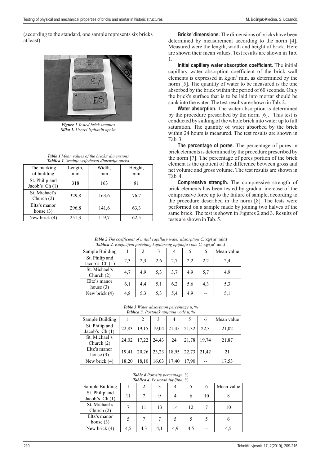(according to the standard, one sample represents six bricks at least).



*Figure 1 Tested brick samples Slika 1. Uzorci ispitanih opeka*

|                 |  |  | <b>Table 1</b> Mean values of the bricks' dimensions |  |
|-----------------|--|--|------------------------------------------------------|--|
| $-111$ $-1$ $-$ |  |  |                                                      |  |

| Tablica 1. Srednje vrijednosti dimenzija opeka |               |              |               |  |  |  |  |  |  |
|------------------------------------------------|---------------|--------------|---------------|--|--|--|--|--|--|
| The marking<br>of building                     | Length,<br>mm | Width,<br>mm | Height,<br>mm |  |  |  |  |  |  |
| St. Philip and<br>Jacob's $Ch(1)$              | 318           | 163          | 81            |  |  |  |  |  |  |
| St. Michael's<br>Church $(2)$                  | 329,8         | 163,6        | 76,7          |  |  |  |  |  |  |
| Eltz's manor<br>house $(3)$                    | 296,8         | 141,6        | 63,3          |  |  |  |  |  |  |
| New brick (4)                                  | 251,3         | 119,7        | 62,5          |  |  |  |  |  |  |

**Bricks' dimensions.** The dimensions of bricks have been determined by measurement according to the norm [4]. Measured were the length, width and height of brick. Here are shown their mean values. Test results are shown in Tab . 1.

**Initial capillary water absorption coefficient.** The initial capillary water absorption coefficient of the brick wall elements is expressed in  $\text{kg/m}^2 \cdot \text{min}$ , as determined by the norm [5]. The quantity of water to be measured is the one absorbed by the brick within the period of 60 seconds. Only the brick's surface that is to be laid into mortar should be sunk into the water. The test results are shown in Tab. 2.

**Water absorption.** The water absorption is determined by the procedure prescribed by the norm [6]. This test is conducted by sinking of the whole brick into water up to full saturation. The quantity of water absorbed by the brick within 24 hours is measured. The test results are shown in Tab. 3.

**The percentage of pores.** The percentage of pores in brick elements is determined by the procedure prescribed by the norm [7]. The percentage of pores portion of the brick element is the quotient of the difference between gross and net volume and gross volume. The test results are shown in Tab. 4.

**Compressive strength.** The compressive strength of brick elements has been tested by gradual increase of the compressive force up to the failure of sample, according to the procedure described in the norm [8]. The tests were performed on a sample made by joining two halves of the same brick. The test is shown in Figures 2 and 3. Results of tests are shown in Tab. 5.

| <b>Table 2</b> The coefficient of initial capillary water absorption C, $kg/(m^2 \cdot min)$ |  |  |  |
|----------------------------------------------------------------------------------------------|--|--|--|
| <b>Tablica 2.</b> Koeficijent početnog kapilarnog upijanja vode C, $kg/(m^2 \cdot min)$      |  |  |  |

| <b>Tablica 2.</b> Koeficifent pocetinog kapuarnog upifanja vode C, Kg/(III 'IIIIII) |     |     |     |     |     |     |            |
|-------------------------------------------------------------------------------------|-----|-----|-----|-----|-----|-----|------------|
| Sample Building                                                                     |     |     | 3   | 4   |     | 6   | Mean value |
| St. Philip and<br>Jacob's $Ch(1)$                                                   | 2,3 | 2.3 | 2,6 | 2,7 | 2,2 | 2,2 | 2,4        |
| St. Michael's<br>Church $(2)$                                                       | 4,7 | 4,9 | 5.3 | 3,7 | 4,9 | 5,7 | 4,9        |
| Eltz's manor<br>house $(3)$                                                         | 6,1 | 4,4 | 5,1 | 6,2 | 5,6 | 4,3 | 5,3        |
| New brick (4)                                                                       | 4,8 | 5,3 | 5,3 | 5,4 | 4,9 |     | 5,1        |

*Table 3 Water absorption percentage u,* %

| <b>Tablica 3.</b> Postotak upijanja vode u, % |       |       |       |       |       |       |            |  |
|-----------------------------------------------|-------|-------|-------|-------|-------|-------|------------|--|
| Sample Building                               |       |       |       |       |       | 6     | Mean value |  |
| St. Philip and<br>Jacob's $Ch(1)$             | 22,83 | 19,15 | 19,04 | 21,45 | 21,32 | 22,3  | 21,02      |  |
| St. Michael's<br>Church $(2)$                 | 24,02 | 17,22 | 24,43 | 24    | 21,78 | 19,74 | 21,87      |  |
| Eltz's manor<br>house $(3)$                   | 19,41 | 20.26 | 23,23 | 18,95 | 22,73 | 21.42 | 21         |  |
| New brick (4)                                 | 18,20 | 18,10 | 16,03 | 17,40 | 17,90 |       | 17,53      |  |

#### *Table 4 Porosity percentage,* % *Tablica 4. Postotak šupljina,* %

| Sample Building                   |     | 2   |     |     |     | O  | Mean value |
|-----------------------------------|-----|-----|-----|-----|-----|----|------------|
| St. Philip and<br>Jacob's $Ch(1)$ | 11  |     |     |     |     | 10 |            |
| St. Michael's<br>Church $(2)$     |     | 11  | 13  | 14  | 12. |    | 10         |
| Eltz's manor<br>house $(3)$       | 5   |     |     |     |     |    |            |
| New brick (4)                     | 4.5 | 4,3 | 4.1 | 4,9 | 4,5 |    |            |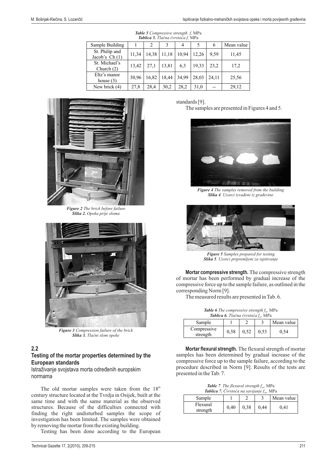| Tablica 5. Tlačna čvrstoća f. MPa |       |       |       |       |       |       |            |  |
|-----------------------------------|-------|-------|-------|-------|-------|-------|------------|--|
| Sample Building                   |       |       | 3     | 4     |       | 6     | Mean value |  |
| St. Philip and<br>Jacob's $Ch(1)$ | 11,34 | 14,38 | 11,18 | 10,94 | 12,26 | 9,59  | 11,45      |  |
| St. Michael's<br>Church $(2)$     | 13,42 | 27,1  | 13,81 | 6,3   | 19,33 | 23,2  | 17,2       |  |
| Eltz's manor<br>house $(3)$       | 30,96 | 16,82 | 18,44 | 34,99 | 28,03 | 24.11 | 25,56      |  |
| New brick (4)                     | 27,8  | 28,4  | 30,2  | 28,2  | 31,0  |       | 29,12      |  |

*Table 5 Compressive strength f,* MPa



*Figure 2 The brick before failure Slika 2. Opeka prije sloma*



*Figure 3 Compression failure of the brick Slika 3. Tlačni slom opeke*

## **2.2**

## **Testing of the mortar properties determined by the European standards**

Istraživanje svojstava morta određenih europskim normama

The old mortar samples were taken from the  $18<sup>th</sup>$ century structure located at the Tvrdja in Osijek, built at the same time and with the same material as the observed structures. Because of the difficulties connected with finding the right undisturbed samples the scope of investigation has been limited. The samples were obtained by removing the mortar from the existing building.

Testing has been done according to the European

standards [9].

The samples are presented in Figures 4 and 5.



*Figure 4 The samples removed from the building Slika 4 . Uzorci izvađeni iz građevine*



*Figure 5 Samples prepared for testing Slika 5 . Uzorci pripremljeni za ispitivanje*

**Mortar compressive strength.** The compressive strength of mortar has been performed by gradual increase of the compressive force up to the sample failure, as outlined in the corresponding Norm [9].

The measured results are presented in Tab. 6.

*Table 6 The compressive strength*  $f_m$ , MPa *Tablica 6. Tlačna čvrstoća*  $f_m$ , MPa *,*

| <b>Tublica 0.</b> Tracha cyrsioca $I_m$ , ivir a |      |      |      |            |  |  |  |  |
|--------------------------------------------------|------|------|------|------------|--|--|--|--|
| Sample                                           |      |      |      | Mean value |  |  |  |  |
| Compressive<br>strength                          | 0.58 | 0,52 | 0.53 | 0.54       |  |  |  |  |

**Mortar flexural strength.** The flexural strength of mortar samples has been determined by gradual increase of the compressive force up to the sample failure, according to the procedure described in Norm [9]. Results of the tests are presented in the Tab. 7.

*Table 7 The flexural strength*  $f_{\text{m},\text{p}}$  MPa **Tablica 7.** Čvrstoća na savijanje  $f_{\text{m},\text{p}}$  MPa

| $\sim$   |      |      |      |            |  |  |  |  |
|----------|------|------|------|------------|--|--|--|--|
| Sample   |      |      |      | Mean value |  |  |  |  |
| Flexural | 0.40 | 0.38 | 0,44 | 141        |  |  |  |  |
| strength |      |      |      |            |  |  |  |  |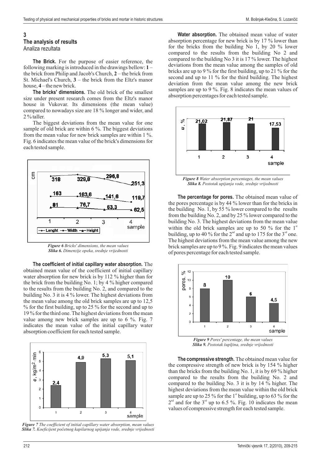#### **3**

#### **The analysis of results**

Analiza rezultata

**The Brick.** For the purpose of easier reference, the following marking is introduced in the drawings bellow:  $1$ the brick from Philip and Jacob's Church, 2 – the brick from St. Michael's Church,  $3$  – the brick from the Eltz's manor house, 4 – the new brick.

The bricks' dimensions. The old brick of the smallest size under present research comes from the Eltz's manor house in Vukovar. Its dimensions (the mean value) compared to nowadays size are 18 % longer and wider, and 2 % taller.

The biggest deviations from the mean value for one sample of old brick are within 6 %. The biggest deviations from the mean value for new brick samples are within 1 %. Fig. 6 indicates the mean value of the brick's dimensions for each tested sample.



*Figure 6 Bricks' dimensions, the mean values Slika 6. Dimenzije opeka, srednje vrijednosti*

**The coefficient of initial capillary water absorption.** The obtained mean value of the coefficient of initial capillary water absorption for new brick is by 112 % higher than for the brick from the building No. 1; by 4 % higher compared to the results from the building No. 2, and compared to the building No. 3 it is 4 % lower. The highest deviations from the mean value among the old brick samples are up to 12,5 % for the first building, up to 25 % for the second and up to 19 % for the third one. The highest deviations from the mean value among new brick samples are up to 6 %. Fig. 7 indicates the mean value of the initial capillary water absorption coefficient for each tested sample.



*Figure 7 The coefficient of initial capillary water absorption, mean values Slika 7. Koeficijent početnog kapilarnog upijanja vode, srednje vrijednosti*

**Water absorption.** The obtained mean value of water absorption percentage for new brick is by 17 % lower than for the bricks from the building No 1, by 20 % lower compared to the results from the building No 2 and compared to the building No 3 it is 17 % lower. The highest deviations from the mean value among the samples of old bricks are up to 9 % for the first building, up to 21 % for the second and up to 11 % for the third building. The highest deviation from the mean value among the new brick samples are up to 9 %. Fig. 8 indicates the mean values of absorption percentages for each tested sample.



*Figure 8 Water absorption percentages, the mean values Slika 8. Postotak upijanja vode, srednje vrijednosti*

**The percentage for pores.** The obtained mean value of the pores percentage is by 44 % lower than for the bricks in the building No. 1, by 55  $\%$  lower compared to the results from the building No. 2, and by 25 % lower compared to the building No. 3. The highest deviations from the mean value within the old brick samples are up to 50 % for the  $1^{\circ}$ building, up to 40 % for the  $2<sup>nd</sup>$  and up to 175 for the  $3<sup>rd</sup>$  one. The highest deviations from the mean value among the new brick samples are up to 9 %. Fig. 9 indicates the mean values of pores percentage for each tested sample.



*Slika 9. Postotak šupljina, srednje vrijednosti*

**The compressive strength.** The obtained mean value for the compressive strength of new brick is by 154 % higher than the bricks from the building No. 1, it is by  $69\%$  higher compared to the results from the building No. 2 and compared to the building No. 3 it is by 14 % higher. The highest deviations from the mean value within the old brick sample are up to 25 % for the  $1<sup>st</sup>$  building, up to 63 % for the  $2<sup>nd</sup>$  and for the  $3<sup>rd</sup>$  up to 6.5 %. Fig. 10 indicates the mean values of compressive strength for each tested sample.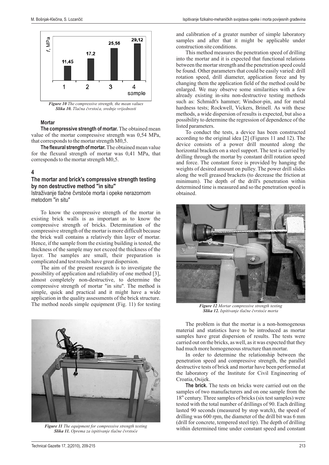

*Figure 10 The compressive strength, the mean values Slika 10. Tlačna čvrstoća, srednje vrijednosti*

#### **Mortar**

**The compressive strength of mortar.** The obtained mean value of the mortar compressive strength was 0,54 MPa, that corresponds to the mortar strength M0,5.

**The flexural strength of mortar.** The obtained mean value for the flexural strength of mortar was 0,41 MPa, that corresponds to the mortar strength M0,5.

#### **4**

#### **The mortar and brick's compressive strength testing by non destructive method "in situ"**

Istraživanje tlačne čvrstoće morta i opeke nerazornom metodom "in situ"

To know the compressive strength of the mortar in existing brick walls is as important as to know the compressive strength of bricks. Determination of the compressive strength of the mortar is more difficult because the brick wall contains a relatively thin layer of mortar. Hence, if the sample from the existing building is tested, the thickness of the sample may not exceed the thickness of the layer. The samples are small, their preparation is complicated and test results have great dispersion.

The aim of the present research is to investigate the possibility of application and reliability of one method [3], almost completely non-destructive, to determine the compressive strength of mortar "in situ". The method is simple, quick and practical and it might have a wide application in the quality assessments of the brick structure. The method needs simple equipment (Fig. 11) for testing



*Figure 11 The equipment for compressive strength testing Slika 11. Oprema za ispitivanje tlačne čvrstoće*

and calibration of a greater number of simple laboratory samples and after that it might be applicable under construction site conditions.

This method measures the penetration speed of drilling into the mortar and it is expected that functional relations between the mortar strength and the penetration speed could be found. Other parameters that could be easily varied: drill rotation speed, drill diameter, application force and by changing them the application field of the method could be enlarged. We may observe some similarities with a few already existing in-situ non-destructive testing methods such as: Schmidt's hammer; Windsor-pin, and for metal hardness tests; Rockwell, Vickers, Brinell. As with these methods, a wide dispersion of results is expected, but also a possibility to determine the regression of dependence of the listed parameters.

To conduct the tests, a device has been constructed according to the original idea [2] (Figures 11 and 12). The device consists of a power drill mounted along the horizontal brackets on a steel support. The test is carried by drilling through the mortar by constant drill rotation speed and force. The constant force is provided by hanging the weights of desired amount on pulley. The power drill slides along the well greased brackets (to decrease the friction at minimum). The depth of the drill's penetration within determined time is measured and so the penetration speed is obtained.



*Figure 12 Mortar compressive strength testing Slika 12. Ispitivanje tlačne čvrstoće morta*

The problem is that the mortar is a non-homogenous material and statistics have to be introduced as mortar samples have great dispersion of results. The tests were carried out on the bricks, as well, as it was expected that they had much more homogeneous structure than mortar.

In order to determine the relationship between the penetration speed and compressive strength, the parallel destructive tests of brick and mortar have been performed at the laboratory of the Institute for Civil Engineering of Croatia, Osijek.

The brick. The tests on bricks were carried out on the samples of two manufacturers and on one sample from the 18<sup>th</sup> century. Three samples of bricks (six test samples) were tested with the total number of drillings of 90. Each drilling lasted 90 seconds (measured by stop watch), the speed of drilling was 600 rpm, the diameter of the drill bit was 6 mm (drill for concrete, tempered steel tip). The depth of drilling within determined time under constant speed and constant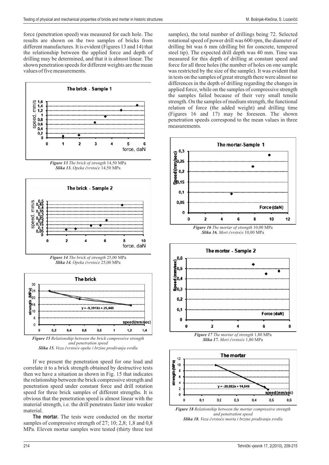force (penetration speed) was measured for each hole. The results are shown on the two samples of bricks from different manufactures. It is evident (Figures 13 and 14) that the relationship between the applied force and depth of drilling may be determined, and that it is almost linear. The shown penetration speeds for different weights are the mean values of five measurements.



*Figure 13 The brick of strength* 14,50 MPa *Slika 13. Opeka čvrstoće* 14,50 MPa



*Figure 14 Slika 14. The brick of strength* 25,00 MPa *Opeka čvrstoće* 25,00 MPa



*Slika 15. Veza čvrstoće opeke i brzine prodiranja svrdla and penetration speed*

If we present the penetration speed for one load and correlate it to a brick strength obtained by destructive tests then we have a situation as shown in Fig. 15 that indicates the relationship between the brick compressive strength and penetration speed under constant force and drill rotation speed for three brick samples of different strengths. It is obvious that the penetration speed is almost linear with the material strength, i.e. the drill penetrates faster into weaker material.

The mortar. The tests were conducted on the mortar samples of compressive strength of 27; 10; 2,8; 1,8 and 0,8 MPa. Eleven mortar samples were tested (thirty three test samples), the total number of drillings being 72. Selected rotational speed of power drill was 600 rpm, the diameter of drilling bit was 6 mm (drilling bit for concrete, tempered steel tip). The expected drill depth was 40 mm. Time was measured for this depth of drilling at constant speed and force for all three holes (the number of holes on one sample was restricted by the size of the sample). It was evident that in tests on the samples of great strength there were almost no differences in the depth of drilling regarding the changes in applied force, while on the samples of compressive strength the samples failed because of their very small tensile strength. On the samples of medium strength, the functional relation of force (the added weight) and drilling time (Figures 16 and 17) may be foreseen. The shown penetration speeds correspond to the mean values in three measurements.



*Slika 16. Mort čvrstoće* 10,00 MPa



*Figure 17 The mortar of strength* 1,80 MPa *Slika 17. Mort čvrstoće* 1,80 MPa



*Figure 18 Relationship between the mortar compressive strength Slika 18. Veza čvrstoće morta i brzine prodiranja svrdlaand penetration speed*